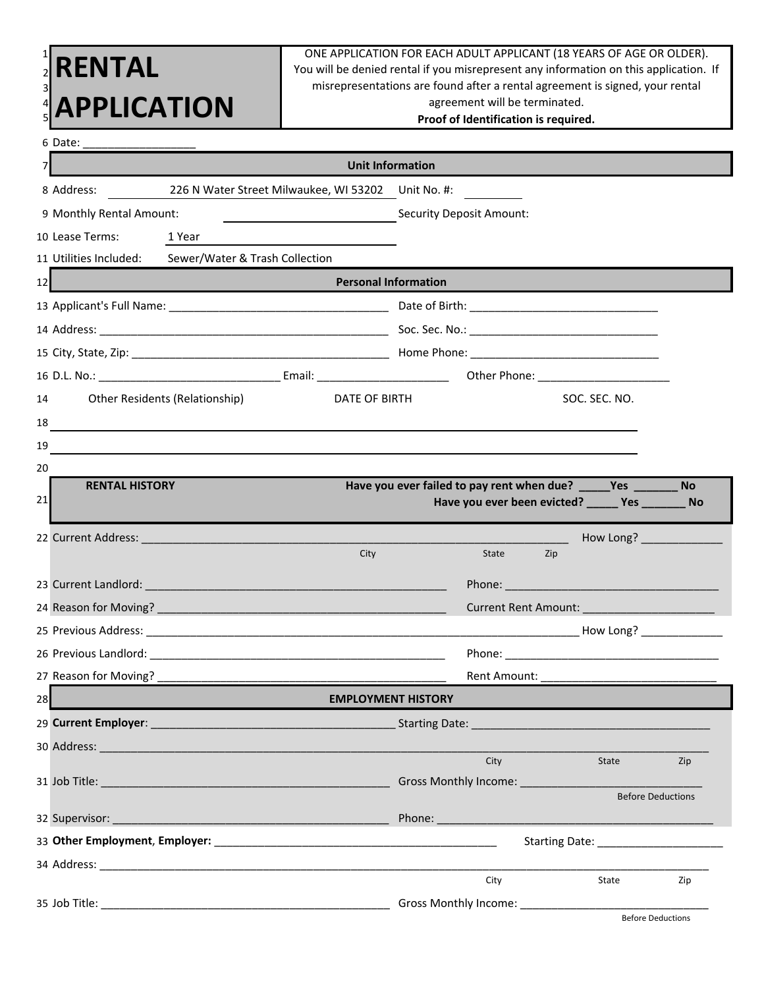|          | <b>ENTAL</b><br><b>APPLICATION</b>                                                                                                                                                                                             | ONE APPLICATION FOR EACH ADULT APPLICANT (18 YEARS OF AGE OR OLDER).<br>You will be denied rental if you misrepresent any information on this application. If<br>misrepresentations are found after a rental agreement is signed, your rental<br>agreement will be terminated.<br>Proof of Identification is required. |                                                                 |                                                    |                          |  |  |
|----------|--------------------------------------------------------------------------------------------------------------------------------------------------------------------------------------------------------------------------------|------------------------------------------------------------------------------------------------------------------------------------------------------------------------------------------------------------------------------------------------------------------------------------------------------------------------|-----------------------------------------------------------------|----------------------------------------------------|--------------------------|--|--|
|          |                                                                                                                                                                                                                                |                                                                                                                                                                                                                                                                                                                        |                                                                 |                                                    |                          |  |  |
|          | <b>Unit Information</b>                                                                                                                                                                                                        |                                                                                                                                                                                                                                                                                                                        |                                                                 |                                                    |                          |  |  |
|          | 8 Address: 226 N Water Street Milwaukee, WI 53202 Unit No. #:                                                                                                                                                                  |                                                                                                                                                                                                                                                                                                                        |                                                                 |                                                    |                          |  |  |
|          | 9 Monthly Rental Amount:                                                                                                                                                                                                       |                                                                                                                                                                                                                                                                                                                        | <b>Maring Security Deposit Amount:</b>                          |                                                    |                          |  |  |
|          | 10 Lease Terms:<br>1 Year                                                                                                                                                                                                      |                                                                                                                                                                                                                                                                                                                        |                                                                 |                                                    |                          |  |  |
|          | 11 Utilities Included: Sewer/Water & Trash Collection                                                                                                                                                                          |                                                                                                                                                                                                                                                                                                                        |                                                                 |                                                    |                          |  |  |
| 12       | <b>Example 2016 1999 Personal Information</b>                                                                                                                                                                                  |                                                                                                                                                                                                                                                                                                                        |                                                                 |                                                    |                          |  |  |
|          |                                                                                                                                                                                                                                |                                                                                                                                                                                                                                                                                                                        |                                                                 |                                                    |                          |  |  |
|          |                                                                                                                                                                                                                                |                                                                                                                                                                                                                                                                                                                        |                                                                 |                                                    |                          |  |  |
|          |                                                                                                                                                                                                                                |                                                                                                                                                                                                                                                                                                                        |                                                                 |                                                    |                          |  |  |
|          |                                                                                                                                                                                                                                |                                                                                                                                                                                                                                                                                                                        |                                                                 |                                                    |                          |  |  |
| 14       | Other Residents (Relationship)                                                                                                                                                                                                 | DATE OF BIRTH                                                                                                                                                                                                                                                                                                          |                                                                 | SOC. SEC. NO.                                      |                          |  |  |
| 18       |                                                                                                                                                                                                                                |                                                                                                                                                                                                                                                                                                                        |                                                                 |                                                    |                          |  |  |
| 19       |                                                                                                                                                                                                                                |                                                                                                                                                                                                                                                                                                                        |                                                                 |                                                    |                          |  |  |
| 20<br>21 | <b>RENTAL HISTORY</b>                                                                                                                                                                                                          |                                                                                                                                                                                                                                                                                                                        | Have you ever failed to pay rent when due? _____Yes ________ No | Have you ever been evicted? ______ Yes ________ No |                          |  |  |
|          |                                                                                                                                                                                                                                |                                                                                                                                                                                                                                                                                                                        |                                                                 |                                                    |                          |  |  |
|          |                                                                                                                                                                                                                                | City                                                                                                                                                                                                                                                                                                                   | State                                                           | Zip                                                |                          |  |  |
|          | 23 Current Landlord: Engine Contract Contract of Contract Contract Contract Contract Contract Contract Contract                                                                                                                |                                                                                                                                                                                                                                                                                                                        |                                                                 |                                                    |                          |  |  |
|          |                                                                                                                                                                                                                                |                                                                                                                                                                                                                                                                                                                        |                                                                 |                                                    |                          |  |  |
|          |                                                                                                                                                                                                                                |                                                                                                                                                                                                                                                                                                                        |                                                                 |                                                    | How Long? ______________ |  |  |
|          |                                                                                                                                                                                                                                |                                                                                                                                                                                                                                                                                                                        |                                                                 |                                                    |                          |  |  |
|          |                                                                                                                                                                                                                                |                                                                                                                                                                                                                                                                                                                        |                                                                 |                                                    |                          |  |  |
| 28       |                                                                                                                                                                                                                                | <b>EMPLOYMENT HISTORY</b>                                                                                                                                                                                                                                                                                              |                                                                 |                                                    |                          |  |  |
|          |                                                                                                                                                                                                                                |                                                                                                                                                                                                                                                                                                                        |                                                                 |                                                    |                          |  |  |
|          | 30 Address: 200 Address: 200 Address: 200 Address: 200 Address: 200 Address: 200 Address: 200 Address: 200 Address: 200 Address: 200 Address: 200 Address: 200 Address: 200 Address: 200 Address: 200 Address: 200 Address: 20 |                                                                                                                                                                                                                                                                                                                        |                                                                 |                                                    |                          |  |  |
|          |                                                                                                                                                                                                                                |                                                                                                                                                                                                                                                                                                                        | City<br>Gross Monthly Income: __________________                | State                                              | Zip                      |  |  |
|          |                                                                                                                                                                                                                                |                                                                                                                                                                                                                                                                                                                        |                                                                 |                                                    | <b>Before Deductions</b> |  |  |
|          |                                                                                                                                                                                                                                |                                                                                                                                                                                                                                                                                                                        |                                                                 |                                                    |                          |  |  |
|          |                                                                                                                                                                                                                                |                                                                                                                                                                                                                                                                                                                        |                                                                 |                                                    |                          |  |  |
|          |                                                                                                                                                                                                                                |                                                                                                                                                                                                                                                                                                                        |                                                                 |                                                    |                          |  |  |
|          |                                                                                                                                                                                                                                |                                                                                                                                                                                                                                                                                                                        | City                                                            | State                                              | Zip                      |  |  |
|          |                                                                                                                                                                                                                                |                                                                                                                                                                                                                                                                                                                        |                                                                 |                                                    | <b>Before Deductions</b> |  |  |